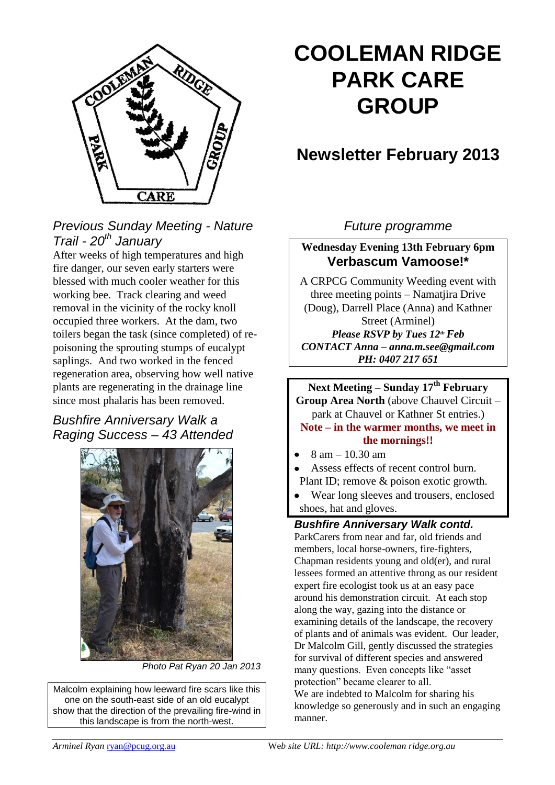

# *Previous Sunday Meeting - Nature Trail - 20th January*

After weeks of high temperatures and high fire danger, our seven early starters were blessed with much cooler weather for this working bee. Track clearing and weed removal in the vicinity of the rocky knoll occupied three workers. At the dam, two toilers began the task (since completed) of repoisoning the sprouting stumps of eucalypt saplings. And two worked in the fenced regeneration area, observing how well native plants are regenerating in the drainage line since most phalaris has been removed.

# *Bushfire Anniversary Walk a Raging Success – 43 Attended*



*Photo Pat Ryan 20 Jan 2013*

Malcolm explaining how leeward fire scars like this one on the south-east side of an old eucalypt show that the direction of the prevailing fire-wind in this landscape is from the north-west.

# **COOLEMAN RIDGE PARK CARE GROUP**

# **Newsletter February 2013**

# *Future programme*

**Wednesday Evening 13th February 6pm Verbascum Vamoose!\***

A CRPCG Community Weeding event with three meeting points – Namatjira Drive (Doug), Darrell Place (Anna) and Kathner Street (Arminel) *Please RSVP by Tues 12thFeb CONTACT Anna – anna.m.see@gmail.com PH: 0407 217 651*

**Next Meeting – Sunday 17th February**

**Group Area North** (above Chauvel Circuit – park at Chauvel or Kathner St entries.)

### **Note – in the warmer months, we meet in the mornings!!**

- 8 am 10.30 am
- Assess effects of recent control burn. Plant ID; remove & poison exotic growth.
- Wear long sleeves and trousers, enclosed shoes, hat and gloves.

# *Bushfire Anniversary Walk contd.*

ParkCarers from near and far, old friends and members, local horse-owners, fire-fighters, Chapman residents young and old(er), and rural lessees formed an attentive throng as our resident expert fire ecologist took us at an easy pace around his demonstration circuit. At each stop along the way, gazing into the distance or examining details of the landscape, the recovery of plants and of animals was evident. Our leader, Dr Malcolm Gill, gently discussed the strategies for survival of different species and answered many questions. Even concepts like "asset protection" became clearer to all. We are indebted to Malcolm for sharing his knowledge so generously and in such an engaging manner.